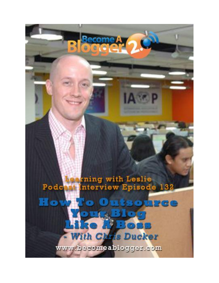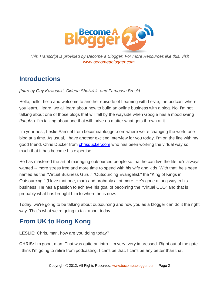

*This Transcript is provided by Become a Blogger. For more Resources like this, visit [www.becomeablogger.com.](http://www.becomeablogger.com/)*

## **Introductions**

*[Intro by Guy Kawasaki, Gideon Shalwick, and Farnoosh Brock]*

Hello, hello, hello and welcome to another episode of Learning with Leslie, the podcast where you learn, I learn, we all learn about how to build an online business with a blog. No, I'm not talking about one of those blogs that will fall by the wayside when Google has a mood swing (*laughs*). I'm talking about one that will thrive no matter what gets thrown at it.

I'm your host, Leslie Samuel from becomeablogger.com where we're changing the world one blog at a time. As usual, I have another exciting interview for you today. I'm on the line with my good friend, Chris Ducker from [chrisducker.com](http://chrisducker.com/) who has been working the virtual way so much that it has become his expertise.

He has mastered the art of managing outsourced people so that he can live the life he's always wanted -- more stress free and more time to spend with his wife and kids. With that, he's been named as the "Virtual Business Guru," "Outsourcing Evangelist," the "King of Kings in Outsourcing," (I love that one, man) and probably a lot more. He's gone a long way in his business. He has a passion to achieve his goal of becoming the "Virtual CEO" and that is probably what has brought him to where he is now.

Today, we're going to be talking about outsourcing and how you as a blogger can do it the right way. That's what we're going to talk about today.

# **From UK to Hong Kong**

**LESLIE:** Chris, man, how are you doing today?

**CHRIS:** I'm good, man. That was quite an intro. I'm very, very impressed. Right out of the gate. I think I'm going to retire from podcasting. I can't be that. I can't be any better than that.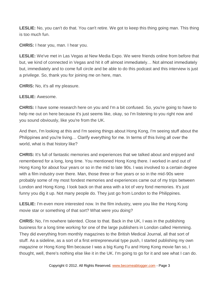**LESLIE:** No, you can't do that. You can't retire. We got to keep this thing going man. This thing is too much fun.

**CHRIS:** I hear you, man. I hear you.

**LESLIE:** We've met in Las Vegas at New Media Expo. We were friends online from before that but, we kind of connected in Vegas and hit it off almost immediately… Not almost immediately but, immediately and to come full circle and be able to do this podcast and this interview is just a privilege. So, thank you for joining me on here, man.

**CHRIS:** No, it's all my pleasure.

**LESLIE:** Awesome.

**CHRIS:** I have some research here on you and I'm a bit confused. So, you're going to have to help me out on here because it's just seems like, okay, so I'm listening to you right now and you sound obviously, like you're from the UK.

And then, I'm looking at this and I'm seeing things about Hong Kong, I'm seeing stuff about the Philippines and you're living… Clarify everything for me. In terms of this living all over the world, what is that history like?

**CHRIS:** It's full of fantastic memories and experiences that we talked about and enjoyed and remembered for a long, long time. You mentioned Hong Kong there. I worked in and out of Hong Kong for about four years or so in the mid to late 90s. I was involved to a certain degree with a film industry over there. Man, those three or five years or so in the mid-90s were probably some of my most fondest memories and experiences came out of my trips between London and Hong Kong. I look back on that area with a lot of very fond memories. It's just funny you dig it up. Not many people do. They just go from London to the Philippines.

**LESLIE:** I'm even more interested now. In the film industry, were you like the Hong Kong movie star or something of that sort? What were you doing?

**CHRIS:** No, I'm nowhere talented. Close to that. Back in the UK, I was in the publishing business for a long time working for one of the large publishers in London called Hemming. They did everything from monthly magazines to the British Medical Journal, all that sort of stuff. As a sideline, as a sort of a first entrepreneurial type push, I started publishing my own magazine or Hong Kong film because I was a big Kung Fu and Hong Kong movie fan so, I thought, well, there's nothing else like it in the UK. I'm going to go for it and see what I can do.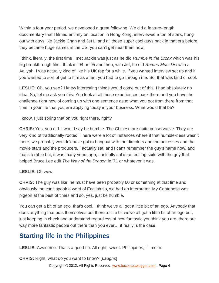Within a four year period, we developed a great following. We did a feature-length documentary that I filmed entirely on location in Hong Kong, interviewed a ton of stars, hung out with guys like Jackie Chan and Jet Li and all those super cool guys back in that era before they became huge names in the US, you can't get near them now.

I think, literally, the first time I met Jackie was just as he did *Rumble in the Bronx* which was his big breakthrough film I think in '94 or '95 and then, with Jet, he did *Romeo Must Die* with a Aaliyah. I was actually kind of like his UK rep for a while. If you wanted interview set up and if you wanted to sort of get to him as a fan, you had to go through me. So, that was kind of cool.

**LESLIE:** Oh, you see? I knew interesting things would come out of this. I had absolutely no idea. So, let me ask you this. You look at all those experiences back there and you have the challenge right now of coming up with one sentence as to what you got from there from that time in your life that you are applying today in your business. What would that be?

I know, I just spring that on you right there, right?

**CHRIS:** Yes, you did. I would say be humble. The Chinese are quite conservative. They are very kind of traditionally rooted. There were a lot of instances where if that humble-ness wasn't there, we probably wouldn't have got to hangout with the directors and the actresses and the movie stars and the producers. I actually sat, and I can't remember the guy's name now, and that's terrible but, it was many years ago, I actually sat in an editing suite with the guy that helped Bruce Lee edit *The Way of the Dragon* in '71 or whatever it was.

#### **LESLIE:** Oh wow.

**CHRIS:** The guy was like, he must have been probably 60 or something at that time and obviously, he can't speak a word of English so, we had an interpreter. My Cantonese was pigeon at the best of times and so, yes, just be humble.

You can get a bit of an ego, that's cool. I think we've all got a little bit of an ego. Anybody that does anything that puts themselves out there a little bit we've all got a little bit of an ego but, just keeping in check and understand regardless of how fantastic you think you are, there are way more fantastic people out there than you ever… it really is the case.

# **Starting life in the Philippines**

**LESLIE:** Awesome. That's a good tip. All right, sweet. Philippines, fill me in.

**CHRIS:** Right, what do you want to know? [*Laughs*]

Copyright © 2012. All Rights Reserved. www.becomeablogger.com - Page 4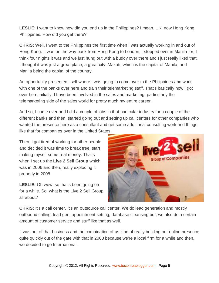**LESLIE:** I want to know how did you end up in the Philippines? I mean, UK, now Hong Kong, Philippines. How did you get there?

**CHRIS:** Well, I went to the Philippines the first time when I was actually working in and out of Hong Kong. It was on the way back from Hong Kong to London, I stopped over in Manila for, I think four nights it was and we just hung out with a buddy over there and I just really liked that. I thought it was just a great place, a great city, Makati, which is the capital of Manila, and Manila being the capital of the country.

An opportunity presented itself where I was going to come over to the Philippines and work with one of the banks over here and train their telemarketing staff. That's basically how I got over here initially. I have been involved in the sales and marketing, particularly the telemarketing side of the sales world for pretty much my entire career.

And so, I came over and I did a couple of jobs in that particular industry for a couple of the different banks and then, started going out and setting up call centers for other companies who wanted the presence here as a consultant and get some additional consulting work and things like that for companies over in the United States.

Then, I got tired of working for other people and decided it was time to break free, start making myself some real money. That's when I set up the **Live 2 Sell Group** which was in 2006 and then, really exploding it properly in 2008.

**LESLIE:** Oh wow, so that's been going on for a while. So, what is the Live 2 Sell Group all about?



**CHRIS:** It's a call center. It's an outsource call center. We do lead generation and mostly outbound calling, lead gen, appointment setting, database cleansing but, we also do a certain amount of customer service and stuff like that as well.

It was out of that business and the combination of us kind of really building our online presence quite quickly out of the gate with that in 2008 because we're a local firm for a while and then, we decided to go International.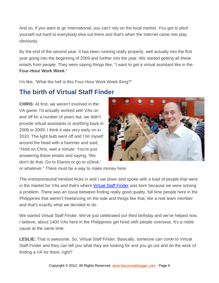And so, if you want to go International, you can't rely on the local market. You got to pitch yourself out hard to everybody else out there and that's when the Internet came into play obviously.

By the end of the second year, it has been running really properly, well actually into the first year going into the beginning of 2009 and further into the year. We started getting all these emails from people. They were saying things like, "I want to get a virtual assistant like in the **Four-Hour Work Week**."

I'm like, "What the hell is this Four-Hour Work Week thing?"

# **The birth of Virtual Staff Finder**

**CHRIS:** At first, we weren't involved in the VA game. I'd actually worked with VAs on and off for a number of years but, we didn't provide virtual assistants or anything back in 2008 or 2009. I think it was very early on in 2010. The light bulb went off and I hit myself around the head with a hammer and said, "Hold on Chris, wait a minute. You're just answering these emails and saying, 'We don't do that. Go to Elance or go to oDesk,'



or whatever." There must be a way to make money here.

The entrepreneurial mindset kicks in and I sat down and spoke with a load of people that were in the market for VAs and that's where [Virtual Staff Finder](http://www.virtualstafffinder.com/) was born because we were solving a problem. There was an issue between finding really good quality, full time people here in the Philippines that weren't freelancing on the side and things like that, like a real team member and that's exactly what we decided to do.

We started Virtual Staff Finder. We've just celebrated our third birthday and we've helped now, I believe, about 1400 VAs here in the Philippines get hired with people overseas. It's a noble cause at the same time.

**LESLIE:** That is awesome. So, Virtual Staff Finder. Basically, someone can come to Virtual Staff Finder and they can tell you what they are looking for and you go out and do the work of finding a VA for them, right?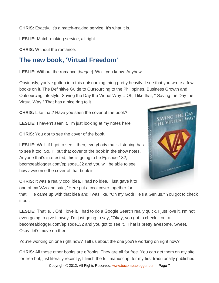**CHRIS:** Exactly. It's a match-making service. It's what it is.

**LESLIE:** Match-making service, all right.

**CHRIS:** Without the romance.

### **The new book, 'Virtual Freedom'**

**LESLIE:** Without the romance [*laughs*]. Well, you know. Anyhow…

Obviously, you've gotten into this outsourcing thing pretty heavily. I see that you wrote a few books on it, The Definitive Guide to Outsourcing to the Philippines, Business Growth and Outsourcing Lifestyle, Saving the Day the Virtual Way… Oh, I like that, " Saving the Day the Virtual Way." That has a nice ring to it.

**CHRIS:** Like that? Have you seen the cover of the book?

**LESLIE:** I haven't seen it. I'm just looking at my notes here.

**CHRIS:** You got to see the cover of the book.



**LESLIE:** Well, if I got to see it then, everybody that's listening has to see it too. So, I'll put that cover of the book in the show notes. Anyone that's interested, this is going to be Episode 132, becmoeablogger.com/episode132 and you will be able to see how awesome the cover of that book is.

**CHRIS:** It was a really cool idea. I had no idea. I just gave it to one of my VAs and said, "Here put a cool cover together for

that." He came up with that idea and I was like, "Oh my God! He's a Genius." You got to check it out.

**LESLIE:** That is… Oh! I love it. I had to do a Google Search really quick. I just love it. I'm not even going to give it away. I'm just going to say, "Okay, you got to check it out at becomeablogger.com/episode132 and you got to see it." That is pretty awesome. Sweet. Okay, let's move on then.

You're working on one right now? Tell us about the one you're working on right now?

Copyright © 2012. All Rights Reserved. www.becomeablogger.com - Page 7 **CHRIS:** All those other books are eBooks. They are all for free. You can get them on my site for free but, just literally recently, I finish the full manuscript for my first traditionally published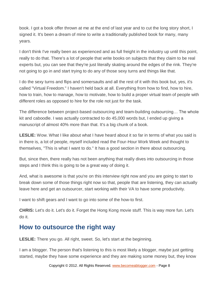book. I got a book offer thrown at me at the end of last year and to cut the long story short, I signed it. It's been a dream of mine to write a traditionally published book for many, many years.

I don't think I've really been as experienced and as full freight in the industry up until this point, really to do that. There's a lot of people that write books on subjects that they claim to be real experts but, you can see that they're just literally skating around the edges of the rink. They're not going to go in and start trying to do any of those sexy turns and things like that.

I do the sexy turns and flips and somersaults and all the rest of it with this book but, yes, it's called "Virtual Freedom." I haven't held back at all. Everything from how to find, how to hire, how to train, how to manage, how to motivate, how to build a proper virtual team of people with different roles as opposed to hire for the role not just for the task.

The difference between project-based outsourcing and team-building outsourcing… The whole kit and caboodle. I was actually contracted to do 45,000 words but, I ended up giving a manuscript of almost 40% more than that. It's a big chunk of a book.

**LESLIE:** Wow. What I like about what I have heard about it so far in terms of what you said is in there is, a lot of people, myself included read the Four-Hour Work Week and thought to themselves, "This is what I want to do." It has a good section in there about outsourcing.

But, since then, there really has not been anything that really dives into outsourcing in those steps and I think this is going to be a great way of doing it.

And, what is awesome is that you're on this interview right now and you are going to start to break down some of those things right now so that, people that are listening, they can actually leave here and get an outsourcer, start working with their VA to have some productivity.

I want to shift gears and I want to go into some of the how-to first.

**CHRIS:** Let's do it. Let's do it. Forget the Hong Kong movie stuff. This is way more fun. Let's do it.

### **How to outsource the right way**

**LESLIE:** There you go. All right, sweet. So, let's start at the beginning.

I am a blogger. The person that's listening to this is most likely a blogger, maybe just getting started, maybe they have some experience and they are making some money but, they know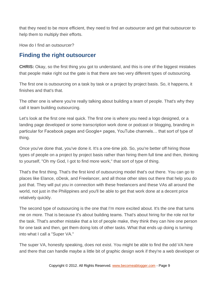that they need to be more efficient, they need to find an outsourcer and get that outsourcer to help them to multiply their efforts.

How do I find an outsourcer?

#### **Finding the right outsourcer**

**CHRIS:** Okay, so the first thing you got to understand, and this is one of the biggest mistakes that people make right out the gate is that there are two very different types of outsourcing.

The first one is outsourcing on a task by task or a project by project basis. So, it happens, it finishes and that's that.

The other one is where you're really talking about building a team of people. That's why they call it team building outsourcing.

Let's look at the first one real quick. The first one is where you need a logo designed, or a landing page developed or some transcription work done or podcast or blogging, branding in particular for Facebook pages and Google+ pages, YouTube channels… that sort of type of thing.

Once you've done that, you've done it. It's a one-time job. So, you're better off hiring those types of people on a project by project basis rather than hiring them full time and then, thinking to yourself, "Oh my God, I got to find more work," that sort of type of thing.

That's the first thing. That's the first kind of outsourcing model that's out there. You can go to places like Elance, oDesk, and Freelancer, and all those other sites out there that help you do just that. They will put you in connection with these freelancers and these VAs all around the world, not just in the Philippines and you'll be able to get that work done at a decent price relatively quickly.

The second type of outsourcing is the one that I'm more excited about. It's the one that turns me on more. That is because it's about building teams. That's about hiring for the role not for the task. That's another mistake that a lot of people make, they think they can hire one person for one task and then, get them doing lots of other tasks. What that ends up doing is turning into what I call a "Super VA."

The super VA, honestly speaking, does not exist. You might be able to find the odd VA here and there that can handle maybe a little bit of graphic design work if they're a web developer or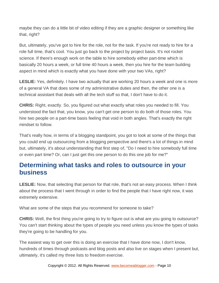maybe they can do a little bit of video editing if they are a graphic designer or something like that, right?

But, ultimately, you've got to hire for the role, not for the task. If you're not ready to hire for a role full time, that's cool. You just go back to the project by project basis. It's not rocket science. If there's enough work on the table to hire somebody either part-time which is basically 20 hours a week, or full time 40 hours a week, then you hire for the team building aspect in mind which is exactly what you have done with your two VAs, right?

**LESLIE:** Yes, definitely. I have two actually that are working 20 hours a week and one is more of a general VA that does some of my administrative duties and then, the other one is a technical assistant that deals with all the tech stuff so that, I don't have to do it.

**CHRIS:** Right, exactly. So, you figured out what exactly what roles you needed to fill. You understood the fact that, you know, you can't get one person to do both of those roles. You hire two people on a part-time basis feeling that void in both angles. That's exactly the right mindset to follow.

That's really how, in terms of a blogging standpoint, you got to look at some of the things that you could end up outsourcing from a blogging perspective and there's a lot of things in mind but, ultimately, it's about understanding that first step of, "Do I need to hire somebody full time or even part time? Or, can I just get this one person to do this one job for me?"

## **Determining what tasks and roles to outsource in your business**

**LESLIE:** Now, that selecting that person for that role, that's not an easy process. When I think about the process that I went through in order to find the people that I have right now, it was extremely extensive.

What are some of the steps that you recommend for someone to take?

**CHRIS:** Well, the first thing you're going to try to figure out is what are you going to outsource? You can't start thinking about the types of people you need unless you know the types of tasks they're going to be handling for you.

The easiest way to get over this is doing an exercise that I have done now, I don't know, hundreds of times through podcasts and blog posts and also live on stages when I present but, ultimately, it's called my three lists to freedom exercise.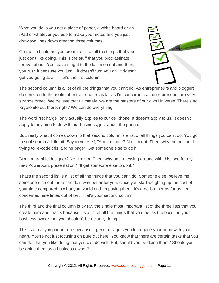What you do is you get a piece of paper, a white board or an iPad or whatever you use to make your notes and you just draw two lines down creating three columns.

On the first column, you create a list of all the things that you just don't like doing. This is the stuff that you procrastinate forever about. You leave it right to the last moment and then, you rush it because you just…It doesn't turn you on. It doesn't get you going at all. That's the first column.



The second column is a list of all the things that you can't do. As entrepreneurs and bloggers do come on to the realm of entrepreneurs as far as I'm concerned, as entrepreneurs are very strange breed. We believe that ultimately, we are the masters of our own Universe. There's no Kryptonite out there, right? We can do everything.

The word "recharge" only actually applies to our cellphone. It doesn't apply to us. It doesn't apply to anything to do with our business, just about the phone.

But, really what it comes down to that second column is a list of all things you can't do. You go to soul search a little bit. Say to yourself, "Am I a coder? No, I'm not. Then, why the hell am I trying to re-code this landing page? Get someone else to do it."

"Am I a graphic designer? No, I'm not. Then, why am I messing around with this logo for my new Powerpoint presentation? I'll get someone else to do it."

That's the second list is a list of all the things that you can't do. Someone else, believe me, someone else out there can do it way better for you. Once you start weighing up the cost of your time compared to what you would end up paying them, it's a no-brainer as far as I'm concerned nine times out of ten. That's your second column.

The third and the final column is by far, the single most important list of the three lists that you create here and that is because it's a list of all the things that you feel as the boss, as your business owner that you shouldn't be actually doing.

This is a really important one because it genuinely gets you to engage your head with your heart. You're not just focusing on pure gut here. You know that there are certain tasks that you can do, that you like doing that you can do well. But, should you be doing them? Should you be doing them as a business owner?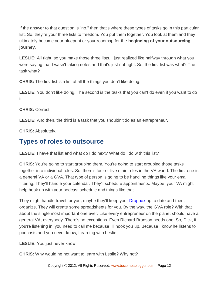If the answer to that question is "no," then that's where these types of tasks go in this particular list. So, they're your three lists to freedom. You put them together. You look at them and they ultimately become your blueprint or your roadmap for the **beginning of your outsourcing journey**.

**LESLIE:** All right, so you make those three lists. I just realized like halfway through what you were saying that I wasn't taking notes and that's just not right. So, the first list was what? The task what?

**CHRIS:** The first list is a list of all the things you don't like doing.

**LESLIE:** You don't like doing. The second is the tasks that you can't do even if you want to do it.

**CHRIS:** Correct.

**LESLIE:** And then, the third is a task that you shouldn't do as an entrepreneur.

**CHRIS:** Absolutely.

# **Types of roles to outsource**

**LESLIE:** I have that list and what do I do next? What do I do with this list?

**CHRIS:** You're going to start grouping them. You're going to start grouping those tasks together into individual roles. So, there's four or five main roles in the VA world. The first one is a general VA or a GVA. That type of person is going to be handling things like your email filtering. They'll handle your calendar. They'll schedule appointments. Maybe, your VA might help hook up with your podcast schedule and things like that.

They might handle travel for you, maybe they'll keep your [Dropbox](https://www.dropbox.com/) up to date and then, organize. They will create some spreadsheets for you. By the way, the GVA role? With that about the single most important one ever. Like every entrepreneur on the planet should have a general VA, everybody. There's no exceptions. Even Richard Branson needs one. So, Dick, if you're listening in, you need to call me because I'll hook you up. Because I know he listens to podcasts and you never know, Learning with Leslie.

**LESLIE:** You just never know.

**CHRIS:** Why would he not want to learn with Leslie? Why not?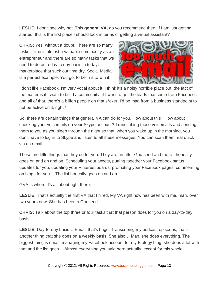**LESLIE:** I don't see why not. This **general VA**, do you recommend then, if I am just getting started, this is the first place I should look in terms of getting a virtual assistant?

**CHRIS:** Yes, without a doubt. There are so many tasks. Time is almost a valuable commodity as an entrepreneur and there are so many tasks that we need to do on a day to day basis in today's marketplace that suck out time dry. Social Media is a perfect example. You got to be in it to win it.



I don't like Facebook. I'm very vocal about it. I think it's a noisy horrible place but, the fact of the matter is if I want to build a community, if I want to get the leads that come from Facebook and all of that, there's a billion people on that s\*cker. I'd be mad from a business standpoint to not be active on it, right?

So, there are certain things that general VA can do for you. How about this? How about checking your voicemails on your Skype account? Transcribing those voicemails and sending them to you as you sleep through the night so that, when you wake up in the morning, you don't have to log in to Skype and listen to all these messages. You can scan them real quick via an email.

These are little things that they do for you. They are an utter God send and the list honestly goes on and on and on. Scheduling your tweets, putting together your Facebook status updates for you, updating your Pinterest boards, promoting your Facebook pages, commenting on blogs for you… The list honestly goes on and on.

GVA is where it's all about right there.

**LESLIE:** That's actually the first VA that I hired. My VA right now has been with me, man, over two years now. She has been a Godsend.

**CHRIS:** Talk about the top three or four tasks that that person does for you on a day-to-day basis.

**LESLIE:** Day-to-day basis… Email, that's huge. Transcribing my podcast episodes, that's another thing that she does on a weekly basis. She also… Man, she does everything. The biggest thing is email, managing my Facebook account for my Biology blog, she does a lot with that and the list goes… Almost everything you said here actually, except for this whole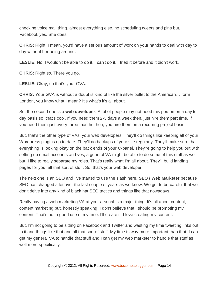checking voice mail thing, almost everything else, no scheduling tweets and pins but, Facebook yes. She does.

**CHRIS:** Right. I mean, you'd have a serious amount of work on your hands to deal with day to day without her being around.

**LESLIE:** No, I wouldn't be able to do it. I can't do it. I tried it before and it didn't work.

**CHRIS:** Right so. There you go.

**LESLIE:** Okay, so that's your GVA.

**CHRIS:** Your GVA is without a doubt is kind of like the silver bullet to the American… form London, you know what I mean? It's what's it's all about.

So, the second one is a **web developer**. A lot of people may not need this person on a day to day basis so, that's cool. If you need them 2-3 days a week then, just hire them part time. If you need them just every three months then, you hire them on a recurring project basis.

But, that's the other type of VAs, your web developers. They'll do things like keeping all of your Wordpress plugins up to date. They'll do backups of your site regularly. They'll make sure that everything is looking okay on the back ends of your C-panel. They're going to help you out with setting up email accounts and yes, a general VA might be able to do some of this stuff as well but, I like to really separate my roles. That's really what I'm all about. They'll build landing pages for you, all that sort of stuff. So, that's your web developer.

The next one is an SEO and I've started to use the slash here, **SEO / Web Marketer** because SEO has changed a lot over the last couple of years as we know. We got to be careful that we don't delve into any kind of black hat SEO tactics and things like that nowadays.

Really having a web marketing VA at your arsenal is a major thing. It's all about content, content marketing but, honestly speaking, I don't believe that I should be promoting my content. That's not a good use of my time. I'll create it. I love creating my content.

But, I'm not going to be sitting on Facebook and Twitter and wasting my time tweeting links out to it and things like that and all that sort of stuff. My time is way more important than that. I can get my general VA to handle that stuff and I can get my web marketer to handle that stuff as well more specifically.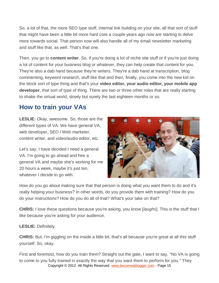So, a lot of that, the more SEO type stuff, internal link building on your site, all that sort of stuff that might have been a little bit more hard core a couple years ago now are starting to delve more towards social. That person now will also handle all of my email newsletter marketing and stuff like that, as well. That's that one.

Then, you go to **content writer**. So, if you're doing a lot of niche site stuff or if you're just doing a lot of content for your business blog or whatever, they can help create that content for you. They're also a dab hand because they're writers. They're a dab hand at transcription, blog commenting, keyword research, stuff like that and then, finally, you come into the new kid on the block sort of type thing and that's your **video editor, your audio editor, your mobile app developer**, that sort of type of thing. There are two or three other roles that are really starting to shake the virtual world, slowly but surely the last eighteen months or so.

## **How to train your VAs**

**LESLIE:** Okay, awesome. So, those are the different types of VA. We have general VA, web developer, SEO / Web marketer, content writer, and video/audio editor, etc.

Let's say, I have decided I need a general VA. I'm going to go ahead and hire a general VA and maybe she's working for me 20 hours a week, maybe it's just ten, whatever I decide to go with.



How do you go about making sure that that person is doing what you want them to do and it's really helping your business? In other words, do you provide them with training? How do you do your instructions? How do you do all of that? What's your take on that?

**CHRIS:** I love these questions because you're asking, you know [*laughs*]. This is the stuff that I like because you're asking for your audience.

**LESLIE:** Definitely.

**CHRIS:** But, I'm giggling on the inside a little bit, that's all because you're great at all this stuff yourself. So, okay.

Copyright © 2012. All Rights Reserved. www.becomeablogger.com - Page 15 First and foremost, how do you train them? Straight out the gate, I want to say, "No VA is going to come to you fully trained in exactly the way that you want them to perform for you." They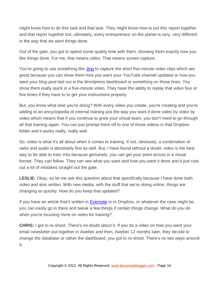might know how to do this task and that task. They might know how to put this report together and that report together but, ultimately, every entrepreneur on the planet is very, very different in the way that we want things done.

Out of the gate, you got to spend some quality time with them, showing them exactly how you like things done. For me, that means video. That means screen capture.

You're going to use something like [Jing](http://www.techsmith.com/jing.html) to capture the short five-minute video clips which are great because you can show them how you want your YouTube channel updated or how you want your blog post laid out in the Wordpress dashboard or something on those lines. You show them really quick in a five-minute video. They have the ability to replay that video four or five times if they have to to get your instructions properly.

But, you know what else you're doing? With every video you create, you're creating and you're adding to an encyclopedia of internal training just the way you want it done video by video by video which means that if you continue to grow your virtual team, you don't need to go through all that training again. You can just prompt them off to one of those videos in that Dropbox folder and it works really, really well.

So, video is what it's all about when it comes to training. If not, obviously, a combination of radio and audio is absolutely fine as well. But, I have found without a doubt, video is the best way to be able to train VAs because genuinely, you can get your point across in a visual format. They can follow. They can see what you want and how you want it done and it just cuts out a lot of mistakes straight out the gate.

**LESLIE:** Okay, so let me ask this question about that specifically because I have done both video and also written. With new media, with the stuff that we're doing online, things are changing so quickly. How do you keep that updated?

If you have an article that's written in **Evernote** or in Dropbox, or whatever the case might be, you can easily go in there and tweak a few things if certain things change. What do you do when you're focusing more on video for training?

**CHRIS:** I got to re-shoot. There's no doubt about it. If you do a video on how you want your email newsletter put together in Aweber and then, Aweber 12 months later, they decide to change the database or rather the dashboard, you got to re-shoot. There's no two ways around it.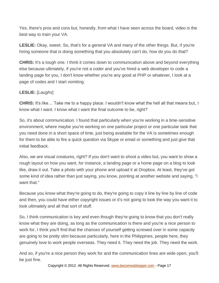Yes, there's pros and cons but, honestly, from what I have seen across the board, video is the best way to train your VA.

**LESLIE:** Okay, sweet. So, that's for a general VA and many of the other things. But, if you're hiring someone that is doing something that you absolutely can't do, how do you do that?

**CHRIS:** It's a tough one. I think it comes down to communication above and beyond everything else because ultimately, if you're not a coder and you've hired a web developer to code a landing page for you, I don't know whether you're any good at PHP or whatever, I look at a page of codes and I start vomiting.

#### **LESLIE:** [*Laughs*]

**CHRIS:** It's like… Take me to a happy place. I wouldn't know what the hell all that means but, I know what I want. I know what I want the final outcome to be, right?

So, it's about communication. I found that particularly when you're working in a time-sensitive environment, where maybe you're working on one particular project or one particular task that you need done in a short space of time, just being available for the VA is sometimes enough for them to be able to fire a quick question via Skype or email or something and just give that initial feedback.

Also, we are visual creatures, right? If you don't want to shoot a video but, you want to show a rough layout on how you want, for instance, a landing page or a home page on a blog to look like, draw it out. Take a photo with your phone and upload it at Dropbox. At least, they've got some kind of idea rather than just saying, you know, pointing at another website and saying, "I want that."

Because you know what they're going to do, they're going to copy it line by line by line of code and then, you could have either copyright issues or it's not going to look the way you want it to look ultimately and all that sort of stuff.

So, I think communication is key and even though they're going to know that you don't really know what they are doing, as long as the communication is there and you're a nice person to work for, I think you'll find that the chances of yourself getting screwed over in some capacity are going to be pretty slim because particularly, here in the Philippines, people here, they genuinely love to work people overseas. They need it. They need the job. They need the work.

And so, if you're a nice person they work for and the communication lines are wide open, you'll be just fine.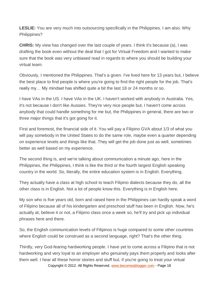**LESLIE:** You are very much into outsourcing specifically in the Philippines. I am also. Why Philippines?

**CHRIS:** My view has changed over the last couple of years. I think it's because (a), I was drafting the book even without the deal that I got for Virtual Freedom and I wanted to make sure that the book was very unbiased read in regards to where you should be building your virtual team.

Obviously, I mentioned the Philippines. That's a given. I've lived here for 13 years but, I believe the best place to find people is where you're going to find the right people for the job. That's really my… My mindset has shifted quite a bit the last 18 or 24 months or so.

I have VAs in the US. I have VAs in the UK. I haven't worked with anybody in Australia. Yes, it's not because I don't like Aussies. They're very nice people but, I haven't come across anybody that could handle something for me but, the Philippines in general, there are two or three major things that it's got going for it.

First and foremost, the financial side of it. You will pay a Filipino GVA about 1/3 of what you will pay somebody in the United States to do the same role, maybe even a quarter depending on experience levels and things like that. They will get the job done just as well, sometimes better as well based on my experience.

The second thing is, and we're talking about communication a minute ago, here in the Philippines, the Philippines, I think is like the third or the fourth largest English speaking country in the world. So, literally, the entire education system is in English. Everything.

They actually have a class at high school to teach Filipino dialects because they do, all the other class is in English. Not a lot of people know this. Everything is in English here.

My son who is five years old, born and raised here in the Philippines can hardly speak a word of Filipino because all of his kindergarten and preschool stuff has been in English. Now, he's actually at, believe it or not, a Filipino class once a week so, he'll try and pick up individual phrases here and there.

So, the English communication levels of Filipinos is huge compared to some other countries where English could be construed as a second language, right? That's the other thing.

Copyright © 2012. All Rights Reserved. www.becomeablogger.com - Page 18 Thirdly, very God-fearing hardworking people. I have yet to come across a Filipino that is not hardworking and very loyal to an employer who genuinely pays them properly and looks after them well. I hear all these horror stories and stuff but, if you're going to treat your virtual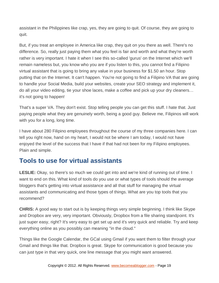assistant in the Philippines like crap, yes, they are going to quit. Of course, they are going to quit.

But, if you treat an employee in America like crap, they quit on you there as well. There's no difference. So, really just paying them what you feel is fair and worth and what they're worth rather is very important. I hate it when I see this so-called 'gurus' on the Internet which we'll remain nameless but, you know who you are if you listen to this, you cannot find a Filipino virtual assistant that is going to bring any value in your business for \$1.50 an hour. Stop putting that on the Internet. It can't happen. You're not going to find a Filipino VA that are going to handle your Social Media, build your websites, create your SEO strategy and implement it, do all your video editing, tie your shoe laces, make a coffee and pick up your dry cleaners… it's not going to happen!

That's a super VA. They don't exist. Stop telling people you can get this stuff. I hate that. Just paying people what they are genuinely worth, being a good guy. Believe me, Filipinos will work with you for a long, long time.

I have about 280 Filipino employees throughout the course of my three companies here. I can tell you right now, hand on my heart, I would not be where I am today, I would not have enjoyed the level of the success that I have if that had not been for my Filipino employees. Plain and simple.

## **Tools to use for virtual assistants**

**LESLIE:** Okay, so there's so much we could get into and we're kind of running out of time. I want to end on this. What kind of tools do you use or what types of tools should the average bloggers that's getting into virtual assistance and all that stuff for managing the virtual assistants and communicating and those types of things. What are you top tools that you recommend?

**CHRIS:** A good way to start out is by keeping things very simple beginning. I think like Skype and Dropbox are very, very important. Obviously, Dropbox from a file sharing standpoint. It's just super easy, right? It's very easy to get set up and it's very quick and reliable. Try and keep everything online as you possibly can meaning "in the cloud."

Things like the Google Calendar, the GCal using Gmail if you want them to filter through your Gmail and things like that. Dropbox is great. Skype for communication is good because you can just type in that very quick, one line message that you might want answered.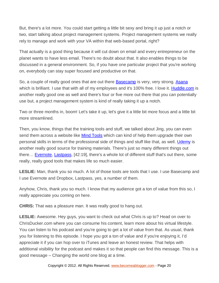But, there's a lot more. You could start getting a little bit sexy and bring it up just a notch or two, start talking about project management systems. Project management systems we really rely to manage and work with your VA within that web-based portal, right?

That actually is a good thing because it will cut down on email and every entrepreneur on the planet wants to have less email. There's no doubt about that. It also enables things to be discussed in a general environment. So, if you have one particular project that you're working on, everybody can stay super focused and productive on that.

So, a couple of really good ones that are out there [Basecamp](https://basecamp.com/) is very, very strong. [Asana](https://asana.com/) which is brilliant. I use that with all of my employees and it's 100% free. I love it. [Huddle.com](http://www.huddle.com/) is another really good one as well and there's four or five more out there that you can potentially use but, a project management system is kind of really taking it up a notch.

Two or three months in, boom! Let's take it up, let's give it a little bit more focus and a little bit more streamlined.

Then, you know, things that the training tools and stuff, we talked about Jing, you can even send them across a website like [Mind Tools](http://www.mindtools.com/index.html) which can kind of help them upgrade their own personal skills in terms of the professional side of things and stuff like that, as well. [Udemy](http://www/udemy.com) is another really good source for training materials. There's just so many different things out there... **[Evernote,](http://www.evernote.com/) Lastpass**, [42:19], there's a whole lot of different stuff that's out there, some really, really good tools that makes life so much easier.

**LESLIE:** Man, thank you so much. A lot of those tools are tools that I use. I use Basecamp and I use Evernote and Dropbox, Lastpass, yes, a number of them.

Anyhow, Chris, thank you so much. I know that my audience got a ton of value from this so, I really appreciate you coming on here.

**CHRIS:** That was a pleasure man. It was really good to hang out.

**LESLIE:** Awesome. Hey guys, you want to check out what Chris is up to? Head on over to ChrisDucker.com where you can consume his content, learn more about his virtual lifestyle. You can listen to his podcast and you're going to get a lot of value from that. As usual, thank you for listening to this episode. I hope you got a ton of value and if you're enjoying it, I'd appreciate it if you can hop over to iTunes and leave an honest review. That helps with additional visibility for the podcast and makes it so that people can find this message. This is a good message – Changing the world one blog at a time.